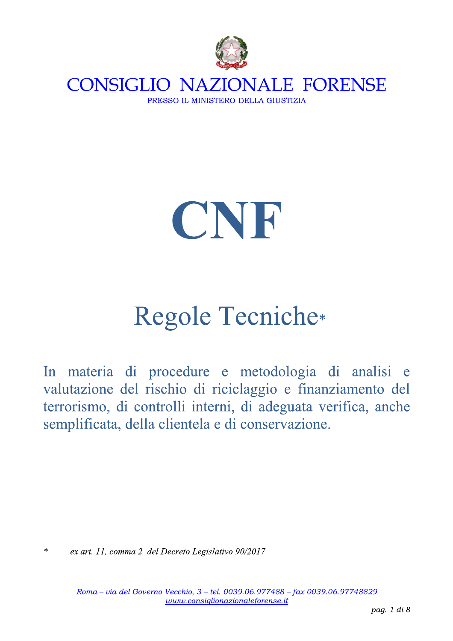



# **Regole Tecniche\***

In materia di procedure e metodologia di analisi e valutazione del rischio di riciclaggio e finanziamento del terrorismo, di controlli interni, di adeguata verifica, anche semplificata, della clientela e di conservazione.

 $\ast$ ex art. 11, comma 2 del Decreto Legislativo 90/2017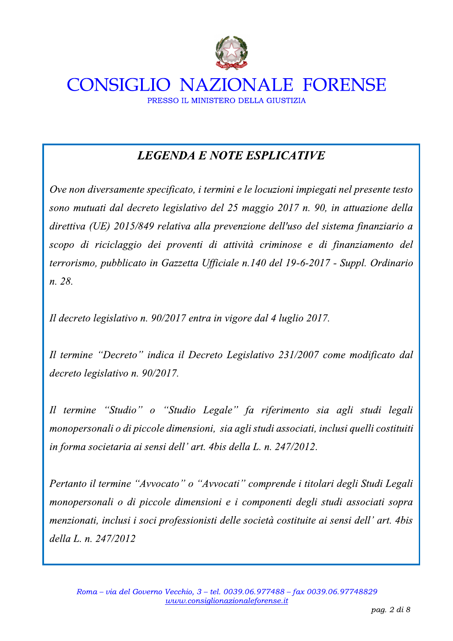

### **LEGENDA E NOTE ESPLICATIVE**

Ove non diversamente specificato, i termini e le locuzioni impiegati nel presente testo sono mutuati dal decreto legislativo del 25 maggio 2017 n. 90, in attuazione della direttiva (UE) 2015/849 relativa alla prevenzione dell'uso del sistema finanziario a scopo di riciclaggio dei proventi di attività criminose e di finanziamento del terrorismo, pubblicato in Gazzetta Ufficiale n.140 del 19-6-2017 - Suppl. Ordinario n. 28.

Il decreto legislativo n. 90/2017 entra in vigore dal 4 luglio 2017.

Il termine "Decreto" indica il Decreto Legislativo 231/2007 come modificato dal decreto legislativo n. 90/2017.

Il termine "Studio" o "Studio Legale" fa riferimento sia agli studi legali monopersonali o di piccole dimensioni, sia agli studi associati, inclusi quelli costituiti in forma societaria ai sensi dell' art. 4bis della L. n. 247/2012.

Pertanto il termine "Avvocato" o "Avvocati" comprende i titolari degli Studi Legali monopersonali o di piccole dimensioni e i componenti degli studi associati sopra menzionati, inclusi i soci professionisti delle società costituite ai sensi dell' art. 4bis della L. n. 247/2012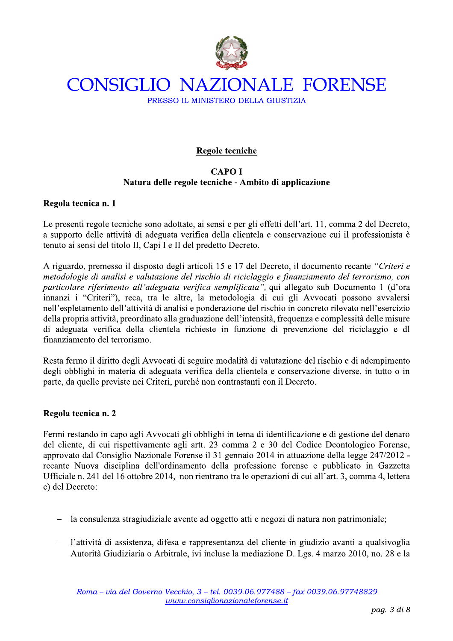

### Regole tecniche

### **CAPOI** Natura delle regole tecniche - Ambito di applicazione

### Regola tecnica n. 1

Le presenti regole tecniche sono adottate, ai sensi e per gli effetti dell'art. 11, comma 2 del Decreto, a supporto delle attività di adeguata verifica della clientela e conservazione cui il professionista è tenuto ai sensi del titolo II, Capi I e II del predetto Decreto.

A riguardo, premesso il disposto degli articoli 15 e 17 del Decreto, il documento recante "Criteri e metodologie di analisi e valutazione del rischio di riciclaggio e finanziamento del terrorismo, con particolare riferimento all'adeguata verifica semplificata", qui allegato sub Documento 1 (d'ora innanzi i "Criteri"), reca, tra le altre, la metodologia di cui gli Avvocati possono avvalersi nell'espletamento dell'attività di analisi e ponderazione del rischio in concreto rilevato nell'esercizio della propria attività, preordinato alla graduazione dell'intensità, frequenza e complessità delle misure di adeguata verifica della clientela richieste in funzione di prevenzione del riciclaggio e dl finanziamento del terrorismo.

Resta fermo il diritto degli Avvocati di seguire modalità di valutazione del rischio e di adempimento degli obblighi in materia di adeguata verifica della clientela e conservazione diverse, in tutto o in parte, da quelle previste nei Criteri, purché non contrastanti con il Decreto.

### Regola tecnica n. 2

Fermi restando in capo agli Avvocati gli obblighi in tema di identificazione e di gestione del denaro del cliente, di cui rispettivamente agli artt. 23 comma 2 e 30 del Codice Deontologico Forense, approvato dal Consiglio Nazionale Forense il 31 gennaio 2014 in attuazione della legge 247/2012 recante Nuova disciplina dell'ordinamento della professione forense e pubblicato in Gazzetta Ufficiale n. 241 del 16 ottobre 2014, non rientrano tra le operazioni di cui all'art. 3, comma 4, lettera c) del Decreto:

- la consulenza stragiudiziale avente ad oggetto atti e negozi di natura non patrimoniale;
- l'attività di assistenza, difesa e rappresentanza del cliente in giudizio avanti a qualsivoglia Autorità Giudiziaria o Arbitrale, ivi incluse la mediazione D. Lgs. 4 marzo 2010, no. 28 e la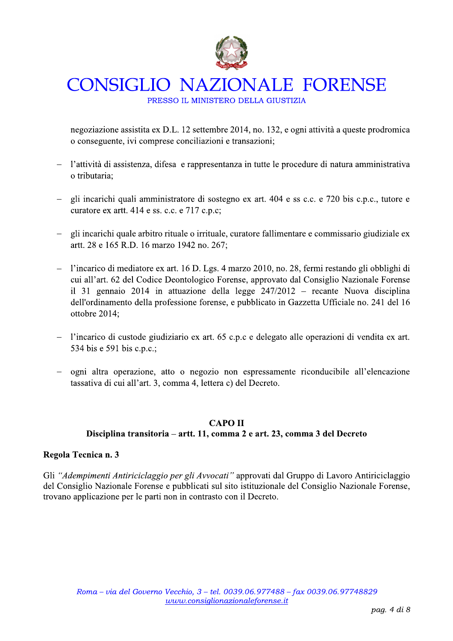

PRESSO IL MINISTERO DELLA GIUSTIZIA

negoziazione assistita ex D.L. 12 settembre 2014, no. 132, e ogni attività a queste prodromica o conseguente, ivi comprese conciliazioni e transazioni;

- l'attività di assistenza, difesa e rappresentanza in tutte le procedure di natura amministrativa o tributaria:
- gli incarichi quali amministratore di sostegno ex art. 404 e ss c.c. e 720 bis c.p.c., tutore e curatore ex artt. 414 e ss. c.c. e 717 c.p.c;
- gli incarichi quale arbitro rituale o irrituale, curatore fallimentare e commissario giudiziale ex artt. 28 e 165 R.D. 16 marzo 1942 no. 267;
- l'incarico di mediatore ex art. 16 D. Lgs. 4 marzo 2010, no. 28, fermi restando gli obblighi di cui all'art. 62 del Codice Deontologico Forense, approvato dal Consiglio Nazionale Forense il 31 gennaio 2014 in attuazione della legge  $247/2012$  – recante Nuova disciplina dell'ordinamento della professione forense, e pubblicato in Gazzetta Ufficiale no. 241 del 16 ottobre 2014;
- l'incarico di custode giudiziario ex art. 65 c.p.c e delegato alle operazioni di vendita ex art. 534 bis e 591 bis c.p.c.;
- ogni altra operazione, atto o negozio non espressamente riconducibile all'elencazione tassativa di cui all'art. 3, comma 4, lettera c) del Decreto.

### **CAPO II** Disciplina transitoria – artt. 11, comma 2 e art. 23, comma 3 del Decreto

### Regola Tecnica n. 3

Gli "Adempimenti Antiriciclaggio per gli Avvocati" approvati dal Gruppo di Lavoro Antiriciclaggio del Consiglio Nazionale Forense e pubblicati sul sito istituzionale del Consiglio Nazionale Forense, trovano applicazione per le parti non in contrasto con il Decreto.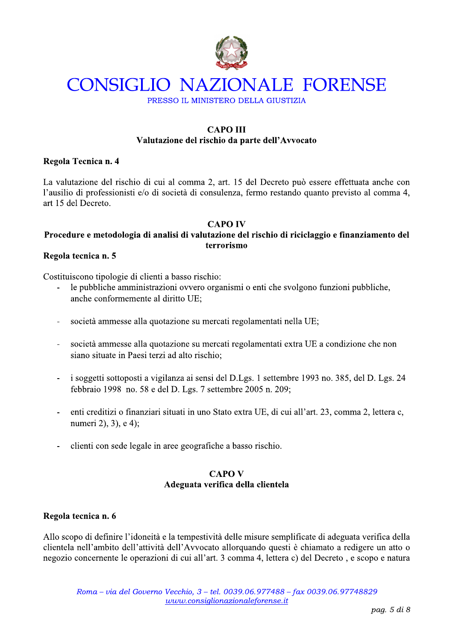

PRESSO IL MINISTERO DELLA GIUSTIZIA

### **CAPO III** Valutazione del rischio da parte dell'Avvocato

### Regola Tecnica n. 4

La valutazione del rischio di cui al comma 2, art. 15 del Decreto può essere effettuata anche con l'ausilio di professionisti e/o di società di consulenza, fermo restando quanto previsto al comma 4, art 15 del Decreto.

### **CAPO IV**

### Procedure e metodologia di analisi di valutazione del rischio di riciclaggio e finanziamento del terrorismo

### Regola tecnica n. 5

Costituiscono tipologie di clienti a basso rischio:

- le pubbliche amministrazioni ovvero organismi o enti che svolgono funzioni pubbliche, anche conformemente al diritto UE;
- società ammesse alla quotazione su mercati regolamentati nella UE;  $\overline{a}$
- società ammesse alla quotazione su mercati regolamentati extra UE a condizione che non siano situate in Paesi terzi ad alto rischio;
- i soggetti sottoposti a vigilanza ai sensi del D.Lgs. 1 settembre 1993 no. 385, del D. Lgs. 24 febbraio 1998 no. 58 e del D. Lgs. 7 settembre 2005 n. 209;
- enti creditizi o finanziari situati in uno Stato extra UE, di cui all'art. 23, comma 2, lettera c, numeri 2), 3), e 4);
- clienti con sede legale in aree geografiche a basso rischio.

### **CAPO V** Adeguata verifica della clientela

### Regola tecnica n. 6

Allo scopo di definire l'idoneità e la tempestività delle misure semplificate di adeguata verifica della clientela nell'ambito dell'attività dell'Avvocato allorquando questi è chiamato a redigere un atto o negozio concernente le operazioni di cui all'art. 3 comma 4, lettera c) del Decreto, e scopo e natura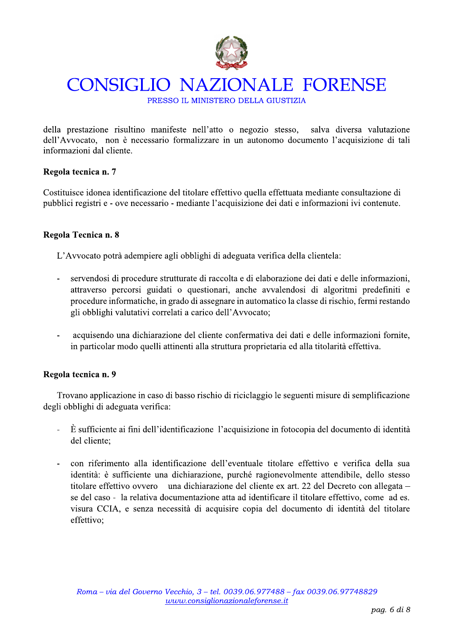

PRESSO IL MINISTERO DELLA GIUSTIZIA

della prestazione risultino manifeste nell'atto o negozio stesso, salva diversa valutazione dell'Avvocato, non è necessario formalizzare in un autonomo documento l'acquisizione di tali informazioni dal cliente.

### Regola tecnica n. 7

Costituisce idonea identificazione del titolare effettivo quella effettuata mediante consultazione di pubblici registri e - ove necessario - mediante l'acquisizione dei dati e informazioni ivi contenute.

### Regola Tecnica n. 8

L'Avvocato potrà adempiere agli obblighi di adeguata verifica della clientela:

- servendosi di procedure strutturate di raccolta e di elaborazione dei dati e delle informazioni, attraverso percorsi guidati o questionari, anche avvalendosi di algoritmi predefiniti e procedure informatiche, in grado di assegnare in automatico la classe di rischio, fermi restando gli obblighi valutativi correlati a carico dell'Avvocato;
- acquisendo una dichiarazione del cliente confermativa dei dati e delle informazioni fornite, in particolar modo quelli attinenti alla struttura proprietaria ed alla titolarità effettiva.

### Regola tecnica n. 9

Trovano applicazione in caso di basso rischio di riciclaggio le seguenti misure di semplificazione degli obblighi di adeguata verifica:

- $\hat{E}$  sufficiente ai fini dell'identificazione l'acquisizione in fotocopia del documento di identità del cliente:
- con riferimento alla identificazione dell'eventuale titolare effettivo e verifica della sua identità: è sufficiente una dichiarazione, purché ragionevolmente attendibile, dello stesso titolare effettivo ovvero una dichiarazione del cliente ex art. 22 del Decreto con allegata – se del caso - la relativa documentazione atta ad identificare il titolare effettivo, come ad es. visura CCIA, e senza necessità di acquisire copia del documento di identità del titolare effettivo: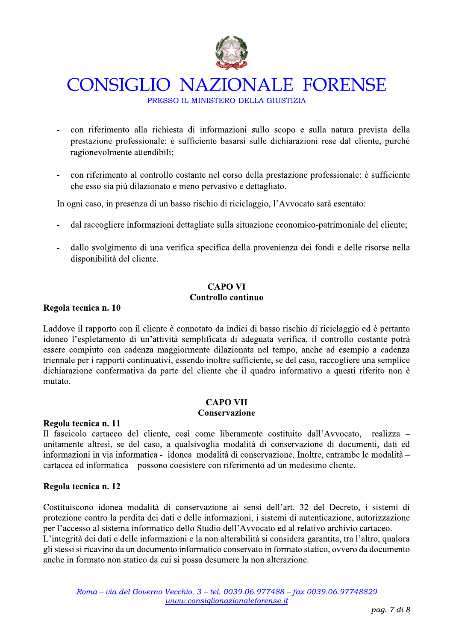

PRESSO IL MINISTERO DELLA GIUSTIZIA

- con riferimento alla richiesta di informazioni sullo scopo e sulla natura prevista della prestazione professionale: è sufficiente basarsi sulle dichiarazioni rese dal cliente, purché ragionevolmente attendibili;
- con riferimento al controllo costante nel corso della prestazione professionale: è sufficiente che esso sia più dilazionato e meno pervasivo e dettagliato.

In ogni caso, in presenza di un basso rischio di riciclaggio, l'Avvocato sarà esentato:

- dal raccogliere informazioni dettagliate sulla situazione economico-patrimoniale del cliente;
- dallo svolgimento di una verifica specifica della provenienza dei fondi e delle risorse nella disponibilità del cliente.

### **CAPO VI** Controllo continuo

### Regola tecnica n. 10

Laddove il rapporto con il cliente è connotato da indici di basso rischio di riciclaggio ed è pertanto idoneo l'espletamento di un'attività semplificata di adeguata verifica, il controllo costante potrà essere compiuto con cadenza maggiormente dilazionata nel tempo, anche ad esempio a cadenza triennale per i rapporti continuativi, essendo inoltre sufficiente, se del caso, raccogliere una semplice dichiarazione confermativa da parte del cliente che il quadro informativo a questi riferito non è mutato.

### **CAPO VII**

### **Conservazione**

### Regola tecnica n. 11

Il fascicolo cartaceo del cliente, così come liberamente costituito dall'Avvocato, realizza – unitamente altresì, se del caso, a qualsivoglia modalità di conservazione di documenti, dati ed informazioni in via informatica - idonea modalità di conservazione. Inoltre, entrambe le modalità – cartacea ed informatica – possono coesistere con riferimento ad un medesimo cliente.

### Regola tecnica n. 12

Costituiscono idonea modalità di conservazione ai sensi dell'art. 32 del Decreto, i sistemi di protezione contro la perdita dei dati e delle informazioni, i sistemi di autenticazione, autorizzazione per l'accesso al sistema informatico dello Studio dell'Avvocato ed al relativo archivio cartaceo. L'integrità dei dati e delle informazioni e la non alterabilità si considera garantita, tra l'altro, qualora gli stessi si ricavino da un documento informatico conservato in formato statico, ovvero da documento anche in formato non statico da cui si possa desumere la non alterazione.